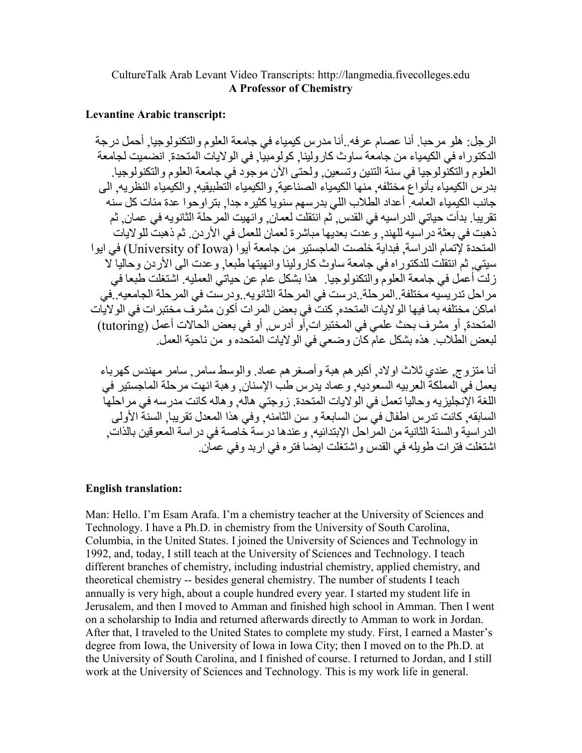## CultureTalk Arab Levant Video Transcripts: http://langmedia.fivecolleges.edu **A Professor of Chemistry**

## **Levantine Arabic transcript:**

الرجل: هلو مرحبا. أنا عصام عرفه. أنا مدرس كيمياء في جامعة العلوم والتكنولوجيا. أحمل درجة الدكتور اه في الكيمياء من جامعة ساوث كار ولينا. كولومبيًّا. في الولايات المتحدة. انضميت لجامعة العلوم والتكنُّولوجيا في سنة النُّنين وتسعين ولحتى الآن موجوَّد في جامعة العلوم والتكنولوجيا . بدر س الكبمباء بأنو اع مختلفه ٍ منها الكبمباء الصناعبة و الكبمباء التطبيقيه و الكبمباء النظر به ٍ الى جانب الكبمباء العامه ۖ أعداد الطلاب اللي بدر سهم سنو يا كثير ه جدا ٍ بتر او حو ا عدة مئات كل سنه تقريبا. بدأت حياتي الدر اسيه في القدس ثم انتقلت لعمان. و انهيت المر حلة الثانو به في عمان ِ ثم ذهبت في بعثة در أسيه للهند<sub>.</sub> و عدت بعديها مباشرة لعمان للعمل في الأردن ِ ثم ذهبت للولايات المتحدة لإتمام الدر اسة. فبداية خلصت الماجستير من جامعة أبو ا (University of Iowa) في ابو ا سيتي ثم انتقلت للدكتوراه في جامعة ساوث كارولينا وانهيتها طبعا وعدت الى الأردن وحاليا لا ز لت أعمل في جامعة العلوم و النكنو لوجيا . هذا بشكل عام عن حياتي العمليه ِ اشتغلت طبعا في مراحل تدريسيه مختلفة ِ المرحلة ِ درست في المرحلة الثانويه ِ ودرست في المرحلة الجامعيه ِ في اماكن مختلفه بما فيها الو لايات المتحده. كنتٌ في بعض المر ات أكو ن مشر ف مختبر ات في الو لايات المتحدة, أو مشرف بحث علمي في المختبر ات أو أدرس, أو في بعض الحالات أعمل (tutoring) لبعض الطلاب. هذه بشكل عام كان و ضعي في الو لايات المتحدِّه و من ناحية العمل.

أنا متز و ج ِ عندي ثلاث او لاد ِ أكبر هم هبة و أصغر هم عماد ٍ و الوسط سامر ¸ سامر ۖ مهندس كهر باء يعمل في المملكة العربيه السعوديه ٍ وعماد يدرس طب الإسنان ٍ وهبة انهت مرحلة الماجستير في اللغة الإنجليزيه وحاليا نعمل في الولايات المتحدة ِ زوجتي هاله ٍ وهاله كانت مدرسه في مراحلهاً السابقه. كانت تدرس اطفال في سن السابعة و سن الثامنه. وفي هذا المعدل تقريبا. السنة الأولى الدر اسية و السنة الثانية من المرّ احل الإبتدائيه. و عندها در سة خاصة في در اسة المعو قين بالذات. اشتغلت فتر ات طويله في القدس و اشتغلت ايضا فتر ه في ار بد و في عمان ِ

## **English translation:**

Man: Hello. I'm Esam Arafa. I'm a chemistry teacher at the University of Sciences and Technology. I have a Ph.D. in chemistry from the University of South Carolina, Columbia, in the United States. I joined the University of Sciences and Technology in 1992, and, today, I still teach at the University of Sciences and Technology. I teach different branches of chemistry, including industrial chemistry, applied chemistry, and theoretical chemistry -- besides general chemistry. The number of students I teach annually is very high, about a couple hundred every year. I started my student life in Jerusalem, and then I moved to Amman and finished high school in Amman. Then I went on a scholarship to India and returned afterwards directly to Amman to work in Jordan. After that, I traveled to the United States to complete my study. First, I earned a Master's degree from Iowa, the University of Iowa in Iowa City; then I moved on to the Ph.D. at the University of South Carolina, and I finished of course. I returned to Jordan, and I still work at the University of Sciences and Technology. This is my work life in general.